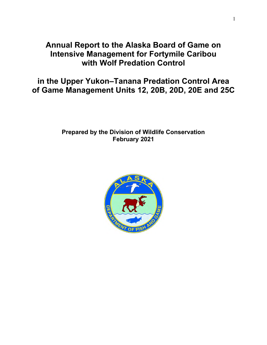# **Annual Report to the Alaska Board of Game on Intensive Management for Fortymile Caribou with Wolf Predation Control**

**in the Upper Yukon–Tanana Predation Control Area of Game Management Units 12, 20B, 20D, 20E and 25C**

# **Prepared by the Division of Wildlife Conservation February 2021**

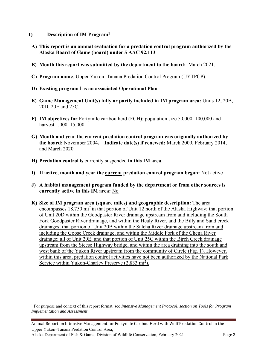- **1) Description of IM Program<sup>1</sup>**
	- **A) This report is an annual evaluation for a predation control program authorized by the Alaska Board of Game (board) under 5 AAC 92.113**
	- **B) Month this report was submitted by the department to the board:** March 2021.
	- **C) Program name**: Upper Yukon–Tanana Predation Control Program (UYTPCP).
	- **D) Existing program** has **an associated Operational Plan**
	- **E) Game Management Unit(s) fully or partly included in IM program area:** Units 12, 20B, 20D, 20E and 25C.
	- **F) IM objectives for** Fortymile caribou herd (FCH): population size 50,000–100,000 and harvest 1,000–15,000.
	- **G) Month and year the current predation control program was originally authorized by the board:** November 2004**. Indicate date(s) if renewed:** March 2009, February 2014, and March 2020.
	- **H) Predation control is** currently suspended **in this IM area**.
	- **I) If active, month and year the current predation control program began:** Not active
	- **J) A habitat management program funded by the department or from other sources is currently active in this IM area:** No
	- **K) Size of IM program area (square miles) and geographic description:** The area encompasses  $18,750$  mi<sup>2</sup> in that portion of Unit 12 north of the Alaska Highway; that portion of Unit 20D within the Goodpaster River drainage upstream from and including the South Fork Goodpaster River drainage, and within the Healy River, and the Billy and Sand creek drainages; that portion of Unit 20B within the Salcha River drainage upstream from and including the Goose Creek drainage, and within the Middle Fork of the Chena River drainage; all of Unit 20E; and that portion of Unit 25C within the Birch Creek drainage upstream from the Steese Highway bridge, and within the area draining into the south and west bank of the Yukon River upstream from the community of Circle (Fig. 1). However, within this area, predation control activities have not been authorized by the National Park Service within Yukon-Charley Preserve (2,833 mi<sup>2</sup>).

<sup>1</sup> For purpose and context of this report format, see *Intensive Management Protocol, section on Tools for Program Implementation and Assessment*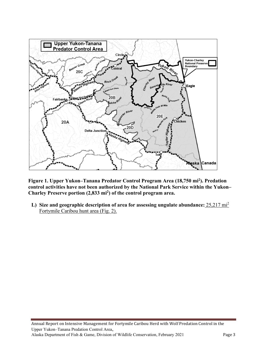

**Figure 1. Upper Yukon–Tanana Predator Control Program Area (18,750 mi<sup>2</sup> ). Predation control activities have not been authorized by the National Park Service within the Yukon– Charley Preserve portion (2,833 mi<sup>2</sup> ) of the control program area.** 

**L) Size and geographic description of area for assessing ungulate abundance:** 25,217 mi<sup>2</sup> Fortymile Caribou hunt area (Fig. 2).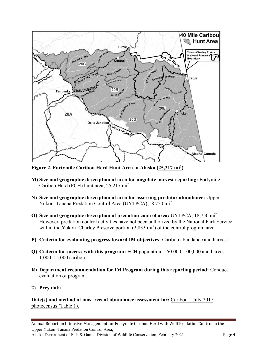

**Figure 2. Fortymile Caribou Herd Hunt Area in Alaska (25,217 mi<sup>2</sup> ).**

- **M) Size and geographic description of area for ungulate harvest reporting:** Fortymile Caribou Herd (FCH) hunt area; 25,217 mi<sup>2</sup>.
- **N) Size and geographic description of area for assessing predator abundance:** Upper Yukon–Tanana Predation Control Area (UYTPCA);18,750 mi<sup>2</sup>.
- **O) Size and geographic description of predation control area:** UYTPCA, 18,750 mi<sup>2</sup> . However, predation control activities have not been authorized by the National Park Service within the Yukon–Charley Preserve portion (2,833 mi<sup>2</sup>) of the control program area.
- **P) Criteria for evaluating progress toward IM objectives:** Caribou abundance and harvest.
- **Q) Criteria for success with this program:** FCH population = 50,000–100,000 and harvest = 1,000–15,000 caribou.
- **R) Department recommendation for IM Program during this reporting period:** Conduct evaluation of program.
- **2) Prey data**

**Date(s) and method of most recent abundance assessment for:** Caribou – July 2017 photocensus (Table 1).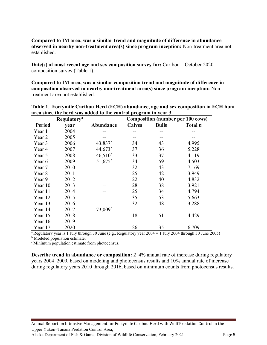## **Compared to IM area, was a similar trend and magnitude of difference in abundance observed in nearby non-treatment area(s) since program inception:** Non-treatment area not established.

**Date(s) of most recent age and sex composition survey for:** Caribou – October 2020 composition survey (Table 1).

**Compared to IM area, was a similar composition trend and magnitude of difference in composition observed in nearby non-treatment area(s) since program inception:** Nontreatment area not established.

|               | <b>Regulatory</b> <sup>a</sup> |                  | <b>Composition (number per 100 cows)</b> |              |                |  |
|---------------|--------------------------------|------------------|------------------------------------------|--------------|----------------|--|
| <b>Period</b> | vear                           | Abundance        | <b>Calves</b>                            | <b>Bulls</b> | Total <i>n</i> |  |
| Year 1        | 2004                           |                  |                                          |              |                |  |
| Year 2        | 2005                           |                  |                                          |              |                |  |
| Year 3        | 2006                           | $43,837^b$       | 34                                       | 43           | 4,995          |  |
| Year 4        | 2007                           | $44,673^b$       | 37                                       | 36           | 5,228          |  |
| Year 5        | 2008                           | $46,510^{\circ}$ | 33                                       | 37           | 4,119          |  |
| Year 6        | 2009                           | $51,675$ °       | 34                                       | 59           | 4,503          |  |
| Year 7        | 2010                           |                  | 32                                       | 43           | 7,169          |  |
| Year 8        | 2011                           |                  | 25                                       | 42           | 3,949          |  |
| Year 9        | 2012                           |                  | 22                                       | 40           | 4,832          |  |
| Year 10       | 2013                           |                  | 28                                       | 38           | 3,921          |  |
| Year 11       | 2014                           |                  | 25                                       | 34           | 4,794          |  |
| Year 12       | 2015                           |                  | 35                                       | 53           | 5,663          |  |
| Year 13       | 2016                           |                  | 32                                       | 48           | 3,288          |  |
| Year 14       | 2017                           | $73,009^{\circ}$ | $- -$                                    | --           |                |  |
| Year 15       | 2018                           |                  | 18                                       | 51           | 4,429          |  |
| Year 16       | 2019                           |                  |                                          |              |                |  |
| Year 17       | 2020                           |                  | 26                                       | 35           | 6,709          |  |

**Table 1**. **Fortymile Caribou Herd (FCH) abundance, age and sex composition in FCH hunt area since the herd was added to the control program in year 3.**

<sup>a</sup> Regulatory year is 1 July through 30 June (e.g., Regulatory year  $2004 = 1$  July 2004 through 30 June 2005)

<sup>b</sup> Modeled population estimate.

<sup>c</sup> Minimum population estimate from photocensus.

**Describe trend in abundance or composition:** 2–4% annual rate of increase during regulatory years 2004–2009, based on modeling and photocensus results and 10% annual rate of increase during regulatory years 2010 through 2016, based on minimum counts from photocensus results.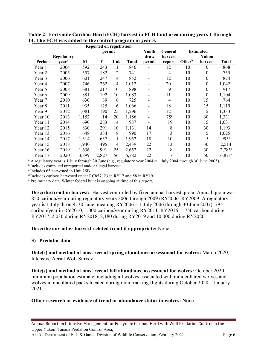| Reported on registration |                   |        |       |                |              |                          |                  |                    |                  |                      |
|--------------------------|-------------------|--------|-------|----------------|--------------|--------------------------|------------------|--------------------|------------------|----------------------|
|                          |                   | permit |       |                | Youth        | General                  | <b>Estimated</b> |                    |                  |                      |
|                          | <b>Regulatory</b> |        |       |                |              | draw                     | harvest          |                    | Yukon            |                      |
| <b>Period</b>            | year <sup>a</sup> | M      | F     | Unk            | <b>Total</b> | permit                   | report           | Other <sup>b</sup> | harvest          | Total                |
| Year 1                   | 2004              | 592    | 243   | 11             | 846          |                          | 12               | 10                 | $\theta$         | 868                  |
| Year 2                   | 2005              | 557    | 182   | $\overline{2}$ | 741          | $\overline{\phantom{a}}$ | $\overline{4}$   | 10                 | $\boldsymbol{0}$ | 755                  |
| Year 3                   | 2006              | 601    | 247   | $\overline{4}$ | 852          | $\blacksquare$           | 12               | 10                 | $\boldsymbol{0}$ | 874                  |
| Year 4                   | 2007              | 746    | 262   | 4              | 1,012        |                          | 20               | 10                 | $\boldsymbol{0}$ | 1,042                |
| Year 5                   | 2008              | 681    | 217   | $\theta$       | 898          | -                        | 9                | 10                 | $\boldsymbol{0}$ | 917                  |
| Year 6                   | 2009              | 881    | 192   | 10             | 1,083        | $\overline{\phantom{a}}$ | 11               | 10                 | $\boldsymbol{0}$ | 1,104                |
| Year 7                   | 2010              | 630    | 89    | 6              | 725          | $\blacksquare$           | $\overline{4}$   | 10                 | 15               | 764                  |
| Year 8                   | 2011              | 935    | 125   | 6              | 1,066        |                          | 18               | 10                 | 15               | 1,119                |
| Year 9                   | 2012              | 1,081  | 190   | 25             | 1,296        | $\overline{\phantom{a}}$ | 12               | 10                 | 15               | 1,333                |
| Year 10                  | 2013              | 1,152  | 14    | 20             | 1,186        |                          | 75 <sup>c</sup>  | 10                 | 60               | 1,331                |
| Year 11                  | 2014              | 690    | 283   | 14             | 987          |                          | 19               | 10                 | 15               | 1,031                |
| Year 12                  | 2015              | 830    | 291   | 10             | 1,131        | 14                       | 8                | 10                 | 30               | 1,193                |
| Year 13                  | 2016              | 648    | 334   | 8              | 990          | 17                       | 3                | 10                 | 5                | 1,025                |
| Year 14                  | 2017              | 1,314  | 637   |                | 1,952        | 18                       | 10               | 10                 | 5                | $1,995$ <sup>d</sup> |
| Year 15                  | 2018              | 1,940  | 495   | 4              | 2,439        | 22                       | 13               | 10                 | 30               | 2,514                |
| Year 16                  | 2019              | 1,636  | 991   | 25             | 2,652        | 22                       | 8                | 10                 | 30               | $2,785$ <sup>d</sup> |
| Year 17                  | 2020              | 3,899  | 2,827 | 56             | 6,782        | 22                       | 7                | 10                 | 50               | $6,871$ <sup>e</sup> |

**Table 2**. **Fortymile Caribou Herd (FCH) harvest in FCH hunt area during years 1 through 14. The FCH was added to the control program in year 3.** 

<sup>a</sup> A regulatory year is 1 July through 30 June (e.g., regulatory year  $2004 = 1$  July 2004 through 30 June 2005).

<sup>b</sup>Includes estimated unreported and/or illegal harvest.

c Includes 65 harvested in Unit 25B.

d Includes caribou harvested under RC857; 23 in RY17 and 58 in RY19

<sup>e</sup> Preliminary data. Winter federal hunt is ongoing at time of this report.

**Describe trend in harvest:** Harvest controlled by fixed annual harvest quota. Annual quota was 850 caribou/year during regulatory years 2006 through 2009 (RY2006–RY2009; A regulatory year is 1 July through 30 June, meaning  $RY2006 = 1$  July 2006 through 30 June 2007), 795 caribou/year in RY2010, 1,000 caribou/year during RY2011–RY2016, 1,750 caribou during RY2017, 2,030 during RY2018, 2,180 during RY2019 and 10,000 during RY2020.

## **Describe any other harvest-related trend if appropriate:** None.

## **3) Predator data**

**Date(s) and method of most recent spring abundance assessment for wolves:** March 2020, Intensive Aerial Wolf Survey.

**Date(s) and method of most recent fall abundance assessment for wolves:** October 2020 minimum population estimate, including all wolves associated with radiocollared wolves and wolves in uncollared packs located during radiotracking flights during October 2020 – January 2021.

## **Other research or evidence of trend or abundance status in wolves:** None.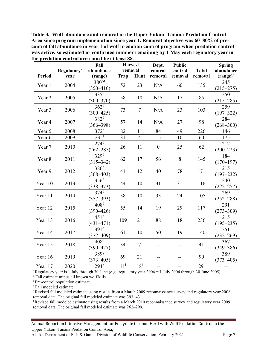**Table 3. Wolf abundance and removal in the Upper Yukon–Tanana Predation Control Area since program implementation since year 1. Removal objective was 60–80% of precontrol fall abundance in year 1 of wolf predation control program when predation control was active, so estimated or confirmed number remaining by 1 May each regulatory year in the predation control area must be at least 88.** 

|         |                                        | Fall                                   | <b>Harvest</b><br>removal |                | Dept.              | <b>Public</b>      |                         | <b>Spring</b>            |
|---------|----------------------------------------|----------------------------------------|---------------------------|----------------|--------------------|--------------------|-------------------------|--------------------------|
| Period  | <b>Regulatory</b> <sup>a</sup><br>year | abundance<br>(range)                   | Trap                      | Hunt           | control<br>removal | control<br>removal | <b>Total</b><br>removal | abundance<br>$(range)^b$ |
| Year 1  | 2004                                   | $380^{\overline{cd}}$<br>$(350 - 410)$ | 52                        | 23             | N/A                | 60                 | 135                     | 245<br>$(215 - 275)$     |
| Year 2  | 2005                                   | 335 <sup>d</sup><br>$(300 - 370)$      | 58                        | 10             | N/A                | 17                 | 85                      | 250<br>$(215 - 285)$     |
| Year 3  | 2006                                   | $362^{\overline{d}}$<br>$(300 - 425)$  | 73                        | $\overline{7}$ | N/A                | 23                 | 103                     | 259<br>$(197 - 322)$     |
| Year 4  | 2007                                   | 382 <sup>d</sup><br>$(366 - 398)$      | 57                        | 14             | N/A                | 27                 | 98                      | 284<br>$(268 - 300)$     |
| Year 5  | 2008                                   | $372^e$                                | 82                        | 11             | 84                 | 49                 | 226                     | 146                      |
| Year 6  | 2009                                   | 235 <sup>f</sup>                       | 31                        | $\overline{4}$ | 15                 | 10                 | 60                      | 175                      |
| Year 7  | 2010                                   | $274$ <sup>d</sup><br>$(262 - 285)$    | 26                        | 11             | $\overline{0}$     | 25                 | 62                      | 212<br>$(200 - 223)$     |
| Year 8  | 2011                                   | 329 <sup>d</sup><br>$(315 - 342)$      | 62                        | 17             | 56                 | 8                  | 145                     | 184<br>$(170 - 197)$     |
| Year 9  | 2012                                   | 386 <sup>d</sup><br>$(368 - 403)$      | 41                        | 12             | 40                 | 78                 | 171                     | 215<br>$(197 - 232)$     |
| Year 10 | 2013                                   | 356 <sup>d</sup><br>$(338 - 373)$      | 44                        | 10             | 31                 | 31                 | 116                     | 240<br>$(222 - 257)$     |
| Year 11 | 2014                                   | $374$ <sup>d</sup><br>$(357 - 393)$    | 38                        | 10             | 33                 | 24                 | 105                     | 269<br>$(252 - 288)$     |
| Year 12 | 2015                                   | 408 <sup>d</sup><br>$(390 - 426)$      | 55                        | 14             | 19                 | 29                 | 117                     | 291<br>$(273 - 309)$     |
| Year 13 | 2016                                   | 451 <sup>d</sup><br>$(431 - 471)$      | 109                       | 21             | 88                 | 18                 | 236                     | 215<br>$(195 - 235)$     |
| Year 14 | 2017                                   | $391^d$<br>$(372 - 409)$               | 61                        | 10             | 50                 | 19                 | 140                     | 251<br>$(232 - 269)$     |
| Year 15 | 2018                                   | $408^{\overline{d}}$<br>$(390 - 427)$  | 34                        | $\tau$         |                    |                    | 41                      | 367<br>$(349 - 386)$     |
| Year 16 | 2019                                   | 389g<br>$(373 - 405)$                  | 69                        | 21             | --                 |                    | 90                      | 389<br>$(373 - 405)$     |
| Year 17 | 2020                                   | $294^{\overline{h}}$                   | $11^{\rm i}$              | $18^{\rm i}$   | --                 | --                 | 29 <sup>i</sup>         | $- -$                    |

<sup>a</sup>Regulatory year is 1 July through 30 June (e.g., regulatory year  $2004 = 1$  July 2004 through 30 June 2005).

<sup>b</sup> Fall estimate minus all known wolf kills.

<sup>c</sup> Pre-control population estimate.

<sup>d</sup> Fall modeled estimate.

<sup>e</sup> Revised fall modeled estimate using results from a March 2009 reconnaissance survey and regulatory year 2008 removal data. The original fall modeled estimate was 393–431.

<sup>f</sup> Revised fall modeled estimate using results from a March 2010 reconnaissance survey and regulatory year 2009 removal data. The original fall modeled estimate was 262–299.

Annual Report on Intensive Management for Fortymile Caribou Herd with Wolf Predation Control in the Upper Yukon–Tanana Predation Control Area,

Alaska Department of Fish & Game, Division of Wildlife Conservation, February 2021 Page 7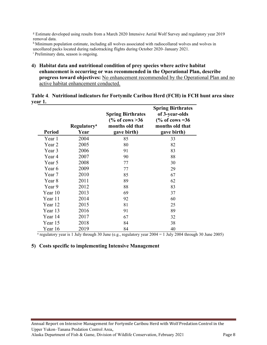<sup>g</sup> Estimate developed using results from a March 2020 Intensive Aerial Wolf Survey and regulatory year 2019 removal data.

h Minimum population estimate, including all wolves associated with radiocollared wolves and wolves in uncollared packs located during radiotracking flights during October 2020–January 2021. <sup>i</sup> Preliminary data, season is ongoing.

**4) Habitat data and nutritional condition of prey species where active habitat enhancement is occurring or was recommended in the Operational Plan, describe progress toward objectives:** No enhancement recommended by the Operational Plan and no active habitat enhancement conducted.

| <b>Period</b> | <b>Regulatory</b> <sup>a</sup><br>Year | <b>Spring Birthrates</b><br>$\frac{6}{6}$ of cows >36<br>months old that<br>gave birth) | <b>Spring Birthrates</b><br>of 3-year-olds<br>$\frac{6}{6}$ of cows = 36<br>months old that<br>gave birth) |
|---------------|----------------------------------------|-----------------------------------------------------------------------------------------|------------------------------------------------------------------------------------------------------------|
| Year 1        | 2004                                   | 85                                                                                      | 33                                                                                                         |
| Year 2        | 2005                                   | 80                                                                                      | 82                                                                                                         |
| Year 3        | 2006                                   | 91                                                                                      | 83                                                                                                         |
| Year 4        | 2007                                   | 90                                                                                      | 88                                                                                                         |
| Year 5        | 2008                                   | 77                                                                                      | 30                                                                                                         |
| Year 6        | 2009                                   | 77                                                                                      | 29                                                                                                         |
| Year 7        | 2010                                   | 85                                                                                      | 67                                                                                                         |
| Year 8        | 2011                                   | 89                                                                                      | 62                                                                                                         |
| Year 9        | 2012                                   | 88                                                                                      | 83                                                                                                         |
| Year 10       | 2013                                   | 69                                                                                      | 37                                                                                                         |
| Year 11       | 2014                                   | 92                                                                                      | 60                                                                                                         |
| Year 12       | 2015                                   | 81                                                                                      | 25                                                                                                         |
| Year 13       | 2016                                   | 91                                                                                      | 89                                                                                                         |
| Year 14       | 2017                                   | 67                                                                                      | 32                                                                                                         |
| Year 15       | 2018                                   | 84                                                                                      | 38                                                                                                         |
| Year 16       | 2019                                   | 84                                                                                      | 40                                                                                                         |

**Table 4**. **Nutritional indicators for Fortymile Caribou Herd (FCH) in FCH hunt area since year 1.** 

<sup>a</sup> regulatory year is 1 July through 30 June (e.g., regulatory year 2004 = 1 July 2004 through 30 June 2005)

#### **5) Costs specific to implementing Intensive Management**